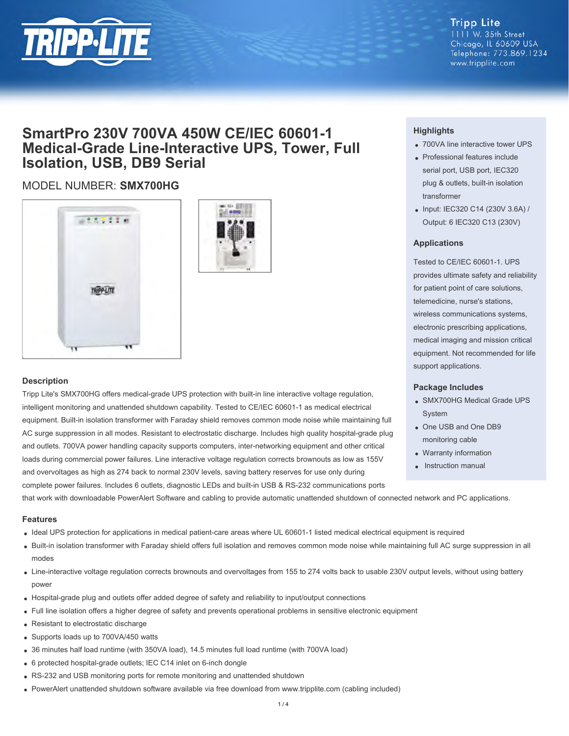

## **Tripp Lite**

1111 W. 35th Street Chicago, IL 60609 USA Telephone: 773.869.1234 www.tripplite.com

## **SmartPro 230V 700VA 450W CE/IEC 60601-1 Medical-Grade Line-Interactive UPS, Tower, Full Isolation, USB, DB9 Serial**

### MODEL NUMBER: **SMX700HG**





#### **Description**

Tripp Lite's SMX700HG offers medical-grade UPS protection with built-in line interactive voltage regulation, intelligent monitoring and unattended shutdown capability. Tested to CE/IEC 60601-1 as medical electrical equipment. Built-in isolation transformer with Faraday shield removes common mode noise while maintaining full AC surge suppression in all modes. Resistant to electrostatic discharge. Includes high quality hospital-grade plug and outlets. 700VA power handling capacity supports computers, inter-networking equipment and other critical loads during commercial power failures. Line interactive voltage regulation corrects brownouts as low as 155V and overvoltages as high as 274 back to normal 230V levels, saving battery reserves for use only during complete power failures. Includes 6 outlets, diagnostic LEDs and built-in USB & RS-232 communications ports

#### **Highlights**

- 700VA line interactive tower UPS
- Professional features include serial port, USB port, IEC320 plug & outlets, built-in isolation transformer
- Input: IEC320 C14 (230V 3.6A) / Output: 6 IEC320 C13 (230V)

#### **Applications**

Tested to CE/IEC 60601-1. UPS provides ultimate safety and reliability for patient point of care solutions, telemedicine, nurse's stations, wireless communications systems, electronic prescribing applications, medical imaging and mission critical equipment. Not recommended for life support applications.

#### **Package Includes**

- SMX700HG Medical Grade UPS System
- One USB and One DB9 monitoring cable
- Warranty information
- Instruction manual

that work with downloadable PowerAlert Software and cabling to provide automatic unattended shutdown of connected network and PC applications.

#### **Features**

- Ideal UPS protection for applications in medical patient-care areas where UL 60601-1 listed medical electrical equipment is required
- Built-in isolation transformer with Faraday shield offers full isolation and removes common mode noise while maintaining full AC surge suppression in all modes
- Line-interactive voltage regulation corrects brownouts and overvoltages from 155 to 274 volts back to usable 230V output levels, without using battery power
- Hospital-grade plug and outlets offer added degree of safety and reliability to input/output connections
- Full line isolation offers a higher degree of safety and prevents operational problems in sensitive electronic equipment
- Resistant to electrostatic discharge
- Supports loads up to 700VA/450 watts
- 36 minutes half load runtime (with 350VA load), 14.5 minutes full load runtime (with 700VA load)
- 6 protected hospital-grade outlets; IEC C14 inlet on 6-inch dongle
- RS-232 and USB monitoring ports for remote monitoring and unattended shutdown
- PowerAlert unattended shutdown software available via free download from www.tripplite.com (cabling included)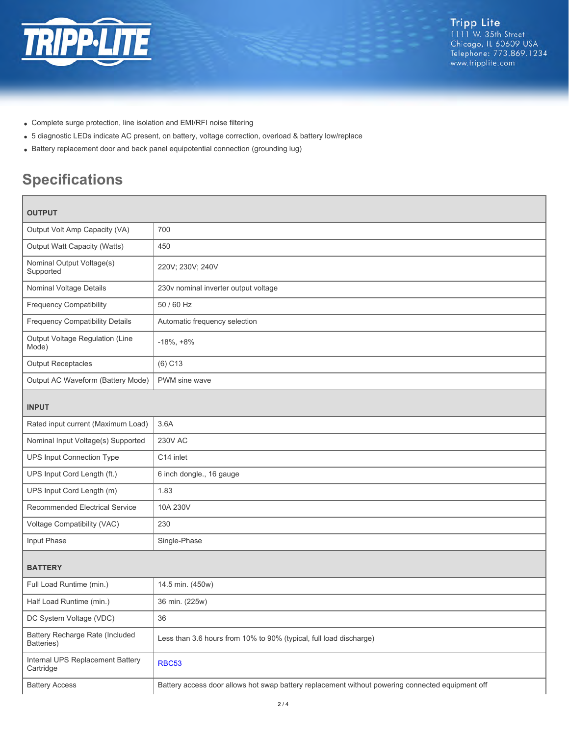

- Complete surge protection, line isolation and EMI/RFI noise filtering
- 5 diagnostic LEDs indicate AC present, on battery, voltage correction, overload & battery low/replace
- Battery replacement door and back panel equipotential connection (grounding lug)

# **Specifications**

| <b>OUTPUT</b>                                 |                                                                                                  |  |
|-----------------------------------------------|--------------------------------------------------------------------------------------------------|--|
| Output Volt Amp Capacity (VA)                 | 700                                                                                              |  |
| Output Watt Capacity (Watts)                  | 450                                                                                              |  |
| Nominal Output Voltage(s)<br>Supported        | 220V; 230V; 240V                                                                                 |  |
| Nominal Voltage Details                       | 230v nominal inverter output voltage                                                             |  |
| <b>Frequency Compatibility</b>                | 50 / 60 Hz                                                                                       |  |
| <b>Frequency Compatibility Details</b>        | Automatic frequency selection                                                                    |  |
| Output Voltage Regulation (Line<br>Mode)      | $-18\%, +8\%$                                                                                    |  |
| <b>Output Receptacles</b>                     | $(6)$ C <sub>13</sub>                                                                            |  |
| Output AC Waveform (Battery Mode)             | PWM sine wave                                                                                    |  |
| <b>INPUT</b>                                  |                                                                                                  |  |
| Rated input current (Maximum Load)            | 3.6A                                                                                             |  |
| Nominal Input Voltage(s) Supported            | <b>230V AC</b>                                                                                   |  |
| <b>UPS Input Connection Type</b>              | C14 inlet                                                                                        |  |
| UPS Input Cord Length (ft.)                   | 6 inch dongle., 16 gauge                                                                         |  |
| UPS Input Cord Length (m)                     | 1.83                                                                                             |  |
| Recommended Electrical Service                | 10A 230V                                                                                         |  |
| Voltage Compatibility (VAC)                   | 230                                                                                              |  |
| Input Phase                                   | Single-Phase                                                                                     |  |
| <b>BATTERY</b>                                |                                                                                                  |  |
| Full Load Runtime (min.)                      | 14.5 min. (450w)                                                                                 |  |
| Half Load Runtime (min.)                      | 36 min. (225w)                                                                                   |  |
| DC System Voltage (VDC)                       | 36                                                                                               |  |
| Battery Recharge Rate (Included<br>Batteries) | Less than 3.6 hours from 10% to 90% (typical, full load discharge)                               |  |
| Internal UPS Replacement Battery<br>Cartridge | <b>RBC53</b>                                                                                     |  |
| <b>Battery Access</b>                         | Battery access door allows hot swap battery replacement without powering connected equipment off |  |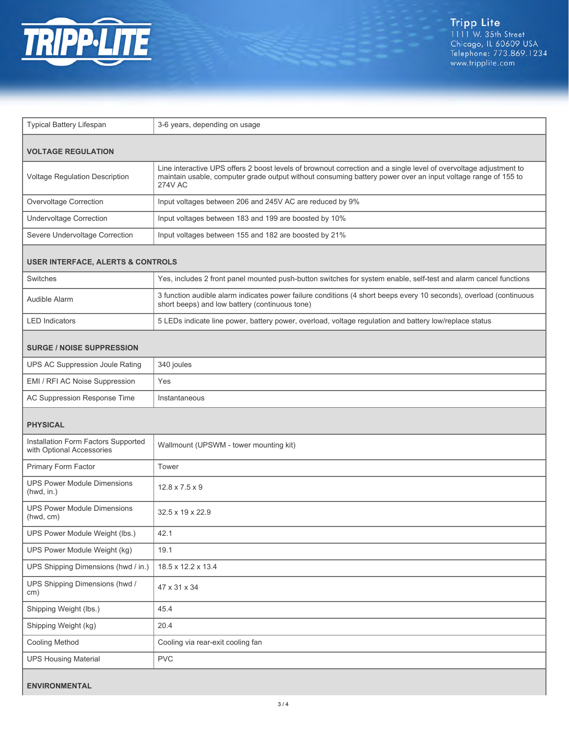

| Typical Battery Lifespan                                         | 3-6 years, depending on usage                                                                                                                                                                                                                       |  |
|------------------------------------------------------------------|-----------------------------------------------------------------------------------------------------------------------------------------------------------------------------------------------------------------------------------------------------|--|
| <b>VOLTAGE REGULATION</b>                                        |                                                                                                                                                                                                                                                     |  |
| Voltage Regulation Description                                   | Line interactive UPS offers 2 boost levels of brownout correction and a single level of overvoltage adjustment to<br>maintain usable, computer grade output without consuming battery power over an input voltage range of 155 to<br><b>274V AC</b> |  |
| Overvoltage Correction                                           | Input voltages between 206 and 245V AC are reduced by 9%                                                                                                                                                                                            |  |
| Undervoltage Correction                                          | Input voltages between 183 and 199 are boosted by 10%                                                                                                                                                                                               |  |
| Severe Undervoltage Correction                                   | Input voltages between 155 and 182 are boosted by 21%                                                                                                                                                                                               |  |
| <b>USER INTERFACE, ALERTS &amp; CONTROLS</b>                     |                                                                                                                                                                                                                                                     |  |
| Switches                                                         | Yes, includes 2 front panel mounted push-button switches for system enable, self-test and alarm cancel functions                                                                                                                                    |  |
| Audible Alarm                                                    | 3 function audible alarm indicates power failure conditions (4 short beeps every 10 seconds), overload (continuous<br>short beeps) and low battery (continuous tone)                                                                                |  |
| <b>LED</b> Indicators                                            | 5 LEDs indicate line power, battery power, overload, voltage regulation and battery low/replace status                                                                                                                                              |  |
| <b>SURGE / NOISE SUPPRESSION</b>                                 |                                                                                                                                                                                                                                                     |  |
| UPS AC Suppression Joule Rating                                  | 340 joules                                                                                                                                                                                                                                          |  |
| EMI / RFI AC Noise Suppression                                   | Yes                                                                                                                                                                                                                                                 |  |
| AC Suppression Response Time                                     | Instantaneous                                                                                                                                                                                                                                       |  |
| <b>PHYSICAL</b>                                                  |                                                                                                                                                                                                                                                     |  |
| Installation Form Factors Supported<br>with Optional Accessories | Wallmount (UPSWM - tower mounting kit)                                                                                                                                                                                                              |  |
| Primary Form Factor                                              | Tower                                                                                                                                                                                                                                               |  |
| <b>UPS Power Module Dimensions</b><br>(hwd, in.)                 | $12.8 \times 7.5 \times 9$                                                                                                                                                                                                                          |  |
| <b>UPS Power Module Dimensions</b><br>(hwd, cm)                  | 32.5 x 19 x 22.9                                                                                                                                                                                                                                    |  |
| UPS Power Module Weight (lbs.)                                   | 42.1                                                                                                                                                                                                                                                |  |
| UPS Power Module Weight (kg)                                     | 19.1                                                                                                                                                                                                                                                |  |
| UPS Shipping Dimensions (hwd / in.)                              | 18.5 x 12.2 x 13.4                                                                                                                                                                                                                                  |  |
| UPS Shipping Dimensions (hwd /<br>cm)                            | 47 x 31 x 34                                                                                                                                                                                                                                        |  |
| Shipping Weight (lbs.)                                           | 45.4                                                                                                                                                                                                                                                |  |
| Shipping Weight (kg)                                             | 20.4                                                                                                                                                                                                                                                |  |
| <b>Cooling Method</b>                                            | Cooling via rear-exit cooling fan                                                                                                                                                                                                                   |  |
| <b>UPS Housing Material</b>                                      | <b>PVC</b>                                                                                                                                                                                                                                          |  |
| <b>ENVIRONMENTAL</b>                                             |                                                                                                                                                                                                                                                     |  |